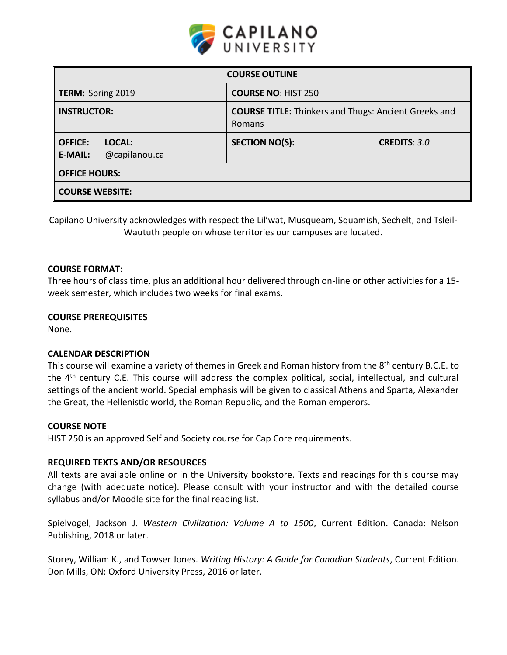

| <b>COURSE OUTLINE</b>                                       |                                                                       |                     |  |  |
|-------------------------------------------------------------|-----------------------------------------------------------------------|---------------------|--|--|
| <b>TERM: Spring 2019</b>                                    | <b>COURSE NO: HIST 250</b>                                            |                     |  |  |
| <b>INSTRUCTOR:</b>                                          | <b>COURSE TITLE:</b> Thinkers and Thugs: Ancient Greeks and<br>Romans |                     |  |  |
| <b>OFFICE:</b><br>LOCAL:<br>@capilanou.ca<br><b>E-MAIL:</b> | <b>SECTION NO(S):</b>                                                 | <b>CREDITS: 3.0</b> |  |  |
| <b>OFFICE HOURS:</b>                                        |                                                                       |                     |  |  |
| <b>COURSE WEBSITE:</b>                                      |                                                                       |                     |  |  |

Capilano University acknowledges with respect the Lil'wat, Musqueam, Squamish, Sechelt, and Tsleil-Waututh people on whose territories our campuses are located.

### **COURSE FORMAT:**

Three hours of class time, plus an additional hour delivered through on-line or other activities for a 15 week semester, which includes two weeks for final exams.

## **COURSE PREREQUISITES**

None.

# **CALENDAR DESCRIPTION**

This course will examine a variety of themes in Greek and Roman history from the 8<sup>th</sup> century B.C.E. to the 4<sup>th</sup> century C.E. This course will address the complex political, social, intellectual, and cultural settings of the ancient world. Special emphasis will be given to classical Athens and Sparta, Alexander the Great, the Hellenistic world, the Roman Republic, and the Roman emperors.

### **COURSE NOTE**

HIST 250 is an approved Self and Society course for Cap Core requirements.

### **REQUIRED TEXTS AND/OR RESOURCES**

All texts are available online or in the University bookstore. Texts and readings for this course may change (with adequate notice). Please consult with your instructor and with the detailed course syllabus and/or Moodle site for the final reading list.

Spielvogel, Jackson J. *Western Civilization: Volume A to 1500*, Current Edition. Canada: Nelson Publishing, 2018 or later.

Storey, William K., and Towser Jones. *Writing History: A Guide for Canadian Students*, Current Edition. Don Mills, ON: Oxford University Press, 2016 or later.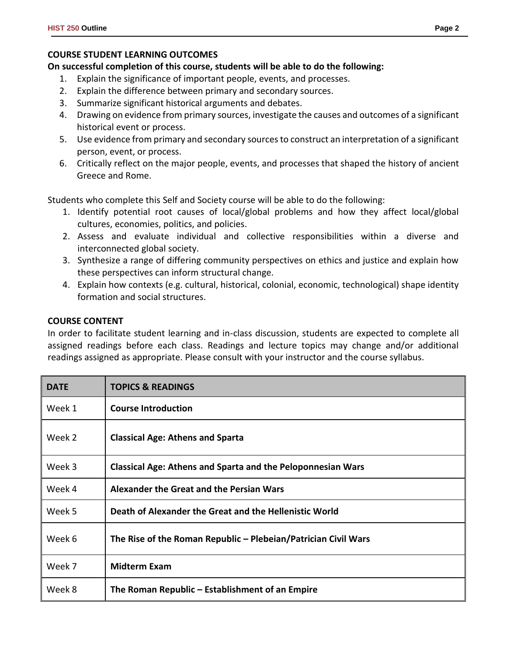# **COURSE STUDENT LEARNING OUTCOMES**

# **On successful completion of this course, students will be able to do the following:**

- 1. Explain the significance of important people, events, and processes.
- 2. Explain the difference between primary and secondary sources.
- 3. Summarize significant historical arguments and debates.
- 4. Drawing on evidence from primary sources, investigate the causes and outcomes of a significant historical event or process.
- 5. Use evidence from primary and secondary sources to construct an interpretation of a significant person, event, or process.
- 6. Critically reflect on the major people, events, and processes that shaped the history of ancient Greece and Rome.

Students who complete this Self and Society course will be able to do the following:

- 1. Identify potential root causes of local/global problems and how they affect local/global cultures, economies, politics, and policies.
- 2. Assess and evaluate individual and collective responsibilities within a diverse and interconnected global society.
- 3. Synthesize a range of differing community perspectives on ethics and justice and explain how these perspectives can inform structural change.
- 4. Explain how contexts (e.g. cultural, historical, colonial, economic, technological) shape identity formation and social structures.

# **COURSE CONTENT**

In order to facilitate student learning and in-class discussion, students are expected to complete all assigned readings before each class. Readings and lecture topics may change and/or additional readings assigned as appropriate. Please consult with your instructor and the course syllabus.

| <b>DATE</b> | <b>TOPICS &amp; READINGS</b>                                       |
|-------------|--------------------------------------------------------------------|
| Week 1      | <b>Course Introduction</b>                                         |
| Week 2      | <b>Classical Age: Athens and Sparta</b>                            |
| Week 3      | <b>Classical Age: Athens and Sparta and the Peloponnesian Wars</b> |
| Week 4      | Alexander the Great and the Persian Wars                           |
| Week 5      | Death of Alexander the Great and the Hellenistic World             |
| Week 6      | The Rise of the Roman Republic – Plebeian/Patrician Civil Wars     |
| Week 7      | <b>Midterm Exam</b>                                                |
| Week 8      | The Roman Republic – Establishment of an Empire                    |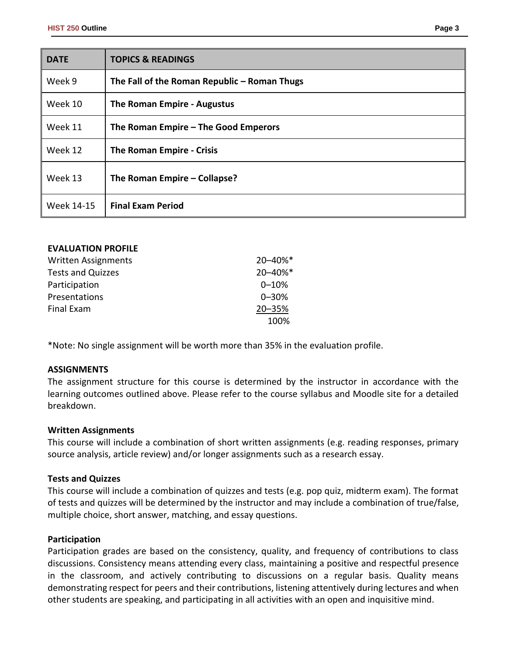| × | I |
|---|---|
|---|---|

| <b>DATE</b> | <b>TOPICS &amp; READINGS</b>                 |  |
|-------------|----------------------------------------------|--|
| Week 9      | The Fall of the Roman Republic – Roman Thugs |  |
| Week 10     | The Roman Empire - Augustus                  |  |
| Week 11     | The Roman Empire $-$ The Good Emperors       |  |
| Week 12     | The Roman Empire - Crisis                    |  |
| Week 13     | The Roman Empire – Collapse?                 |  |
| Week 14-15  | <b>Final Exam Period</b>                     |  |

| <b>EVALUATION PROFILE</b>  |           |
|----------------------------|-----------|
| <b>Written Assignments</b> | 20-40%*   |
| <b>Tests and Quizzes</b>   | 20-40%*   |
| Participation              | $0 - 10%$ |
| Presentations              | $0 - 30%$ |
| Final Exam                 | 20-35%    |
|                            | 100%      |

\*Note: No single assignment will be worth more than 35% in the evaluation profile.

### **ASSIGNMENTS**

The assignment structure for this course is determined by the instructor in accordance with the learning outcomes outlined above. Please refer to the course syllabus and Moodle site for a detailed breakdown.

### **Written Assignments**

This course will include a combination of short written assignments (e.g. reading responses, primary source analysis, article review) and/or longer assignments such as a research essay.

## **Tests and Quizzes**

This course will include a combination of quizzes and tests (e.g. pop quiz, midterm exam). The format of tests and quizzes will be determined by the instructor and may include a combination of true/false, multiple choice, short answer, matching, and essay questions.

### **Participation**

Participation grades are based on the consistency, quality, and frequency of contributions to class discussions. Consistency means attending every class, maintaining a positive and respectful presence in the classroom, and actively contributing to discussions on a regular basis. Quality means demonstrating respect for peers and their contributions, listening attentively during lectures and when other students are speaking, and participating in all activities with an open and inquisitive mind.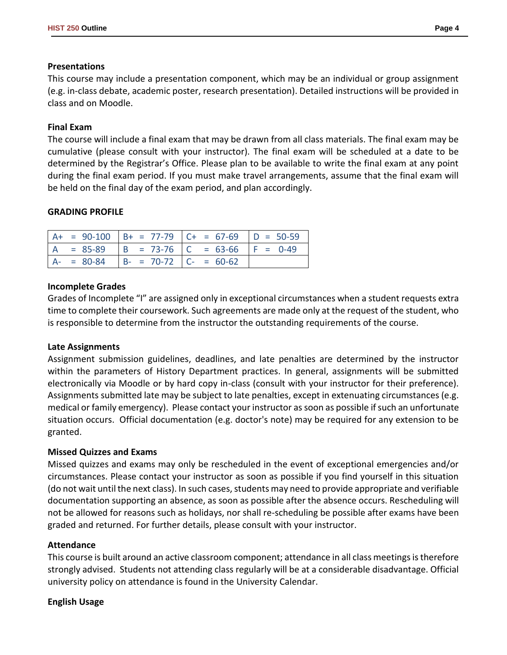## **Presentations**

This course may include a presentation component, which may be an individual or group assignment (e.g. in-class debate, academic poster, research presentation). Detailed instructions will be provided in class and on Moodle.

## **Final Exam**

The course will include a final exam that may be drawn from all class materials. The final exam may be cumulative (please consult with your instructor). The final exam will be scheduled at a date to be determined by the Registrar's Office. Please plan to be available to write the final exam at any point during the final exam period. If you must make travel arrangements, assume that the final exam will be held on the final day of the exam period, and plan accordingly.

## **GRADING PROFILE**

|               |                           | $A+ = 90-100$ $B+ = 77-79$ $C+ = 67-69$ $D = 50-59$ |  |
|---------------|---------------------------|-----------------------------------------------------|--|
|               |                           | $= 85-89$   B = 73-76   C = 63-66   F = 0-49        |  |
| $A - = 80-84$ | $B- = 70-72$ $C- = 60-62$ |                                                     |  |

## **Incomplete Grades**

Grades of Incomplete "I" are assigned only in exceptional circumstances when a student requests extra time to complete their coursework. Such agreements are made only at the request of the student, who is responsible to determine from the instructor the outstanding requirements of the course.

### **Late Assignments**

Assignment submission guidelines, deadlines, and late penalties are determined by the instructor within the parameters of History Department practices. In general, assignments will be submitted electronically via Moodle or by hard copy in-class (consult with your instructor for their preference). Assignments submitted late may be subject to late penalties, except in extenuating circumstances (e.g. medical or family emergency). Please contact your instructor as soon as possible if such an unfortunate situation occurs. Official documentation (e.g. doctor's note) may be required for any extension to be granted.

### **Missed Quizzes and Exams**

Missed quizzes and exams may only be rescheduled in the event of exceptional emergencies and/or circumstances. Please contact your instructor as soon as possible if you find yourself in this situation (do not wait until the next class). In such cases, students may need to provide appropriate and verifiable documentation supporting an absence, as soon as possible after the absence occurs. Rescheduling will not be allowed for reasons such as holidays, nor shall re-scheduling be possible after exams have been graded and returned. For further details, please consult with your instructor.

## **Attendance**

This course is built around an active classroom component; attendance in all class meetings is therefore strongly advised. Students not attending class regularly will be at a considerable disadvantage. Official university policy on attendance is found in the University Calendar.

### **English Usage**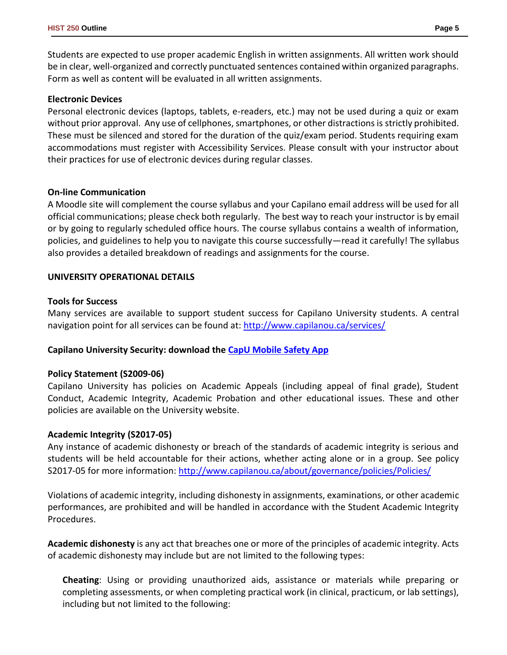Students are expected to use proper academic English in written assignments. All written work should be in clear, well-organized and correctly punctuated sentences contained within organized paragraphs. Form as well as content will be evaluated in all written assignments.

#### **Electronic Devices**

Personal electronic devices (laptops, tablets, e-readers, etc.) may not be used during a quiz or exam without prior approval. Any use of cellphones, smartphones, or other distractions is strictly prohibited. These must be silenced and stored for the duration of the quiz/exam period. Students requiring exam accommodations must register with Accessibility Services. Please consult with your instructor about their practices for use of electronic devices during regular classes.

#### **On-line Communication**

A Moodle site will complement the course syllabus and your Capilano email address will be used for all official communications; please check both regularly. The best way to reach your instructor is by email or by going to regularly scheduled office hours. The course syllabus contains a wealth of information, policies, and guidelines to help you to navigate this course successfully—read it carefully! The syllabus also provides a detailed breakdown of readings and assignments for the course.

### **UNIVERSITY OPERATIONAL DETAILS**

#### **Tools for Success**

Many services are available to support student success for Capilano University students. A central navigation point for all services can be found at:<http://www.capilanou.ca/services/>

### **Capilano University Security: download the [CapU Mobile Safety App](https://www.capilanou.ca/services/safety-security/CapU-Mobile-Safety-App/)**

### **Policy Statement (S2009-06)**

Capilano University has policies on Academic Appeals (including appeal of final grade), Student Conduct, Academic Integrity, Academic Probation and other educational issues. These and other policies are available on the University website.

### **Academic Integrity (S2017-05)**

Any instance of academic dishonesty or breach of the standards of academic integrity is serious and students will be held accountable for their actions, whether acting alone or in a group. See policy S2017-05 for more information: <http://www.capilanou.ca/about/governance/policies/Policies/>

Violations of academic integrity, including dishonesty in assignments, examinations, or other academic performances, are prohibited and will be handled in accordance with the Student Academic Integrity Procedures.

**Academic dishonesty** is any act that breaches one or more of the principles of academic integrity. Acts of academic dishonesty may include but are not limited to the following types:

**Cheating**: Using or providing unauthorized aids, assistance or materials while preparing or completing assessments, or when completing practical work (in clinical, practicum, or lab settings), including but not limited to the following: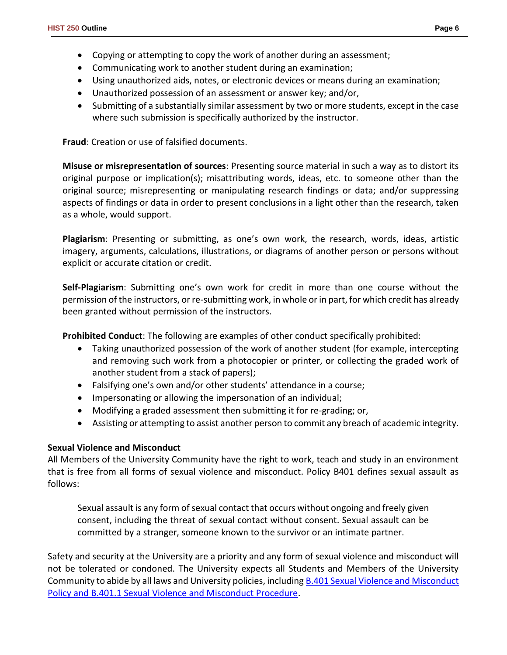- Copying or attempting to copy the work of another during an assessment;
- Communicating work to another student during an examination;
- Using unauthorized aids, notes, or electronic devices or means during an examination;
- Unauthorized possession of an assessment or answer key; and/or,
- Submitting of a substantially similar assessment by two or more students, except in the case where such submission is specifically authorized by the instructor.

**Fraud**: Creation or use of falsified documents.

**Misuse or misrepresentation of sources**: Presenting source material in such a way as to distort its original purpose or implication(s); misattributing words, ideas, etc. to someone other than the original source; misrepresenting or manipulating research findings or data; and/or suppressing aspects of findings or data in order to present conclusions in a light other than the research, taken as a whole, would support.

**Plagiarism**: Presenting or submitting, as one's own work, the research, words, ideas, artistic imagery, arguments, calculations, illustrations, or diagrams of another person or persons without explicit or accurate citation or credit.

**Self-Plagiarism**: Submitting one's own work for credit in more than one course without the permission of the instructors, or re-submitting work, in whole or in part, for which credit has already been granted without permission of the instructors.

**Prohibited Conduct**: The following are examples of other conduct specifically prohibited:

- Taking unauthorized possession of the work of another student (for example, intercepting and removing such work from a photocopier or printer, or collecting the graded work of another student from a stack of papers);
- Falsifying one's own and/or other students' attendance in a course;
- Impersonating or allowing the impersonation of an individual;
- Modifying a graded assessment then submitting it for re-grading; or,
- Assisting or attempting to assist another person to commit any breach of academic integrity.

# **Sexual Violence and Misconduct**

All Members of the University Community have the right to work, teach and study in an environment that is free from all forms of sexual violence and misconduct. Policy B401 defines sexual assault as follows:

Sexual assault is any form of sexual contact that occurs without ongoing and freely given consent, including the threat of sexual contact without consent. Sexual assault can be committed by a stranger, someone known to the survivor or an intimate partner.

Safety and security at the University are a priority and any form of sexual violence and misconduct will not be tolerated or condoned. The University expects all Students and Members of the University Community to abide by all laws and University policies, includin[g B.401 Sexual Violence and Misconduct](https://www.capilanou.ca/SVM/)  [Policy and B.401.1 Sexual Violence and Misconduct Procedure.](https://www.capilanou.ca/SVM/)